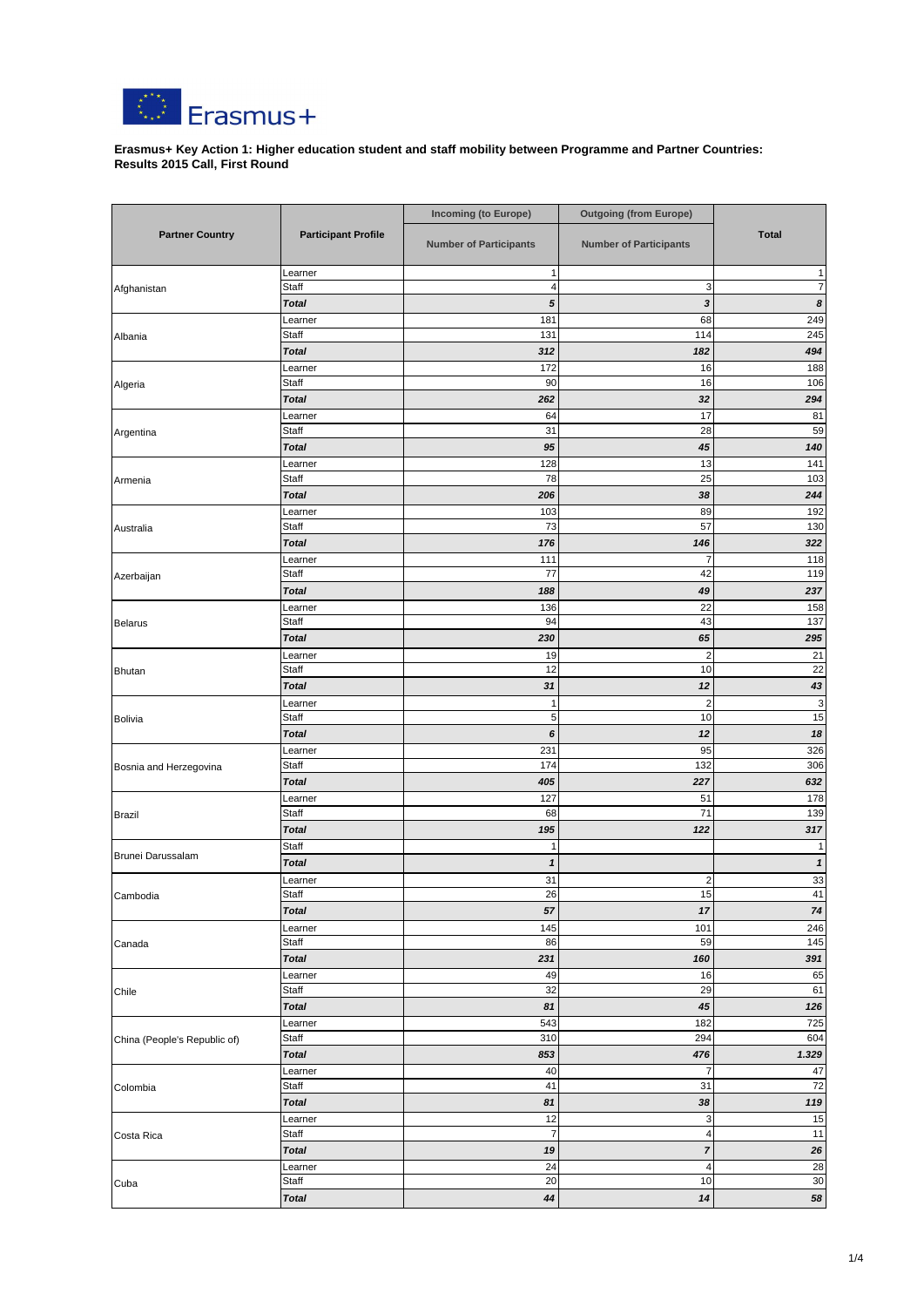|                              |                              | <b>Incoming (to Europe)</b>   | <b>Outgoing (from Europe)</b>      |                  |
|------------------------------|------------------------------|-------------------------------|------------------------------------|------------------|
| <b>Partner Country</b>       | <b>Participant Profile</b>   | <b>Number of Participants</b> | <b>Number of Participants</b>      | <b>Total</b>     |
|                              | Learner                      | $\mathbf{1}$                  |                                    |                  |
| Afghanistan                  | <b>Staff</b><br><b>Total</b> | 4<br>${\bf 5}$                | $\mathbf{3}$                       | 7                |
|                              | Learner                      | 181                           | 3<br>68                            | 8<br>249         |
| Albania                      | Staff                        | 131                           | 114                                | 245              |
|                              | <b>Total</b>                 | 312                           | 182                                | 494              |
|                              | Learner                      | 172                           | 16                                 | 188              |
| Algeria                      | <b>Staff</b>                 | 90                            | 16                                 | 106              |
|                              | <b>Total</b>                 | 262                           | 32                                 | 294              |
|                              | Learner                      | 64                            | 17                                 | 81               |
| Argentina                    | Staff<br><b>Total</b>        | 31<br>95                      | 28<br>45                           | 59<br>140        |
|                              | Learner                      | 128                           | 13                                 | 141              |
| Armenia                      | <b>Staff</b>                 | 78                            | 25                                 | 103              |
|                              | <b>Total</b>                 | 206                           | 38                                 | 244              |
|                              | Learner                      | 103                           | 89                                 | 192              |
| Australia                    | Staff                        | 73                            | 57                                 | 130              |
|                              | <b>Total</b>                 | 176                           | 146                                | 322              |
|                              | Learner<br>Staff             | 111<br>77                     | 7                                  | 118              |
| Azerbaijan                   | <b>Total</b>                 | 188                           | 42<br>49                           | 119<br>237       |
|                              | Learner                      | 136                           | 22                                 | 158              |
| <b>Belarus</b>               | Staff                        | 94                            | 43                                 | 137              |
|                              | <b>Total</b>                 | 230                           | 65                                 | 295              |
|                              | Learner                      | 19                            | $\overline{c}$                     | 21               |
| <b>Bhutan</b>                | Staff                        | 12                            | 10                                 | $\overline{22}$  |
|                              | <b>Total</b>                 | 31                            | 12                                 | 43               |
|                              | Learner                      | 1                             | $\overline{c}$                     | $\mathbf{3}$     |
| Bolivia                      | Staff<br><b>Total</b>        | $\overline{5}$<br>6           | 10<br>12                           | 15<br>$18$       |
|                              | Learner                      | 231                           | 95                                 | 326              |
| Bosnia and Herzegovina       | Staff                        | 174                           | 132                                | 306              |
|                              | <b>Total</b>                 | 405                           | 227                                | 632              |
|                              | Learner                      | 127                           | 51                                 | 178              |
| Brazil                       | Staff                        | 68                            | 71                                 | 139              |
|                              | <b>Total</b>                 | 195                           | 122                                | 317              |
| Brunei Darussalam            | Staff                        | 1                             |                                    |                  |
|                              | <b>Total</b>                 | 1<br>31                       | $\overline{c}$                     | 1<br>$33\,$      |
| Cambodia                     | Learner<br>Staff             | 26                            | 15                                 | 41               |
|                              | <b>Total</b>                 | 57                            | 17                                 | 74               |
|                              | Learner                      | 145                           | 101                                | 246              |
| Canada                       | Staff                        | 86                            | 59                                 | 145              |
|                              | <b>Total</b>                 | 231                           | 160                                | 391              |
|                              | Learner<br>Staff             | 49                            | 16                                 | 65               |
| Chile                        | <b>Total</b>                 | 32<br>81                      | 29<br>45                           | 61<br>126        |
|                              | Learner                      | 543                           | 182                                | 725              |
| China (People's Republic of) | <b>Staff</b>                 | 310                           | 294                                | 604              |
|                              | <b>Total</b>                 | 853                           | 476                                | 1.329            |
| Colombia                     | Learner                      | 40                            | $\overline{7}$                     | 47               |
|                              | Staff                        | 41                            | 31                                 | 72               |
|                              | <b>Total</b>                 | 81                            | 38                                 | 119              |
| Costa Rica                   | Learner                      | 12<br>$\overline{7}$          | 3                                  | 15               |
|                              | Staff<br><b>Total</b>        | 19                            | $\overline{4}$<br>$\boldsymbol{7}$ | 11<br>${\bf 26}$ |
|                              | Learner                      | 24                            | 4                                  | 28               |
| Cuba                         | Staff                        | 20                            | 10                                 | 30 <sup>1</sup>  |
|                              | <b>Total</b>                 | 44                            | 14                                 | 58               |



**Erasmus+ Key Action 1: Higher education student and staff mobility between Programme and Partner Countries: Results 2015 Call, First Round**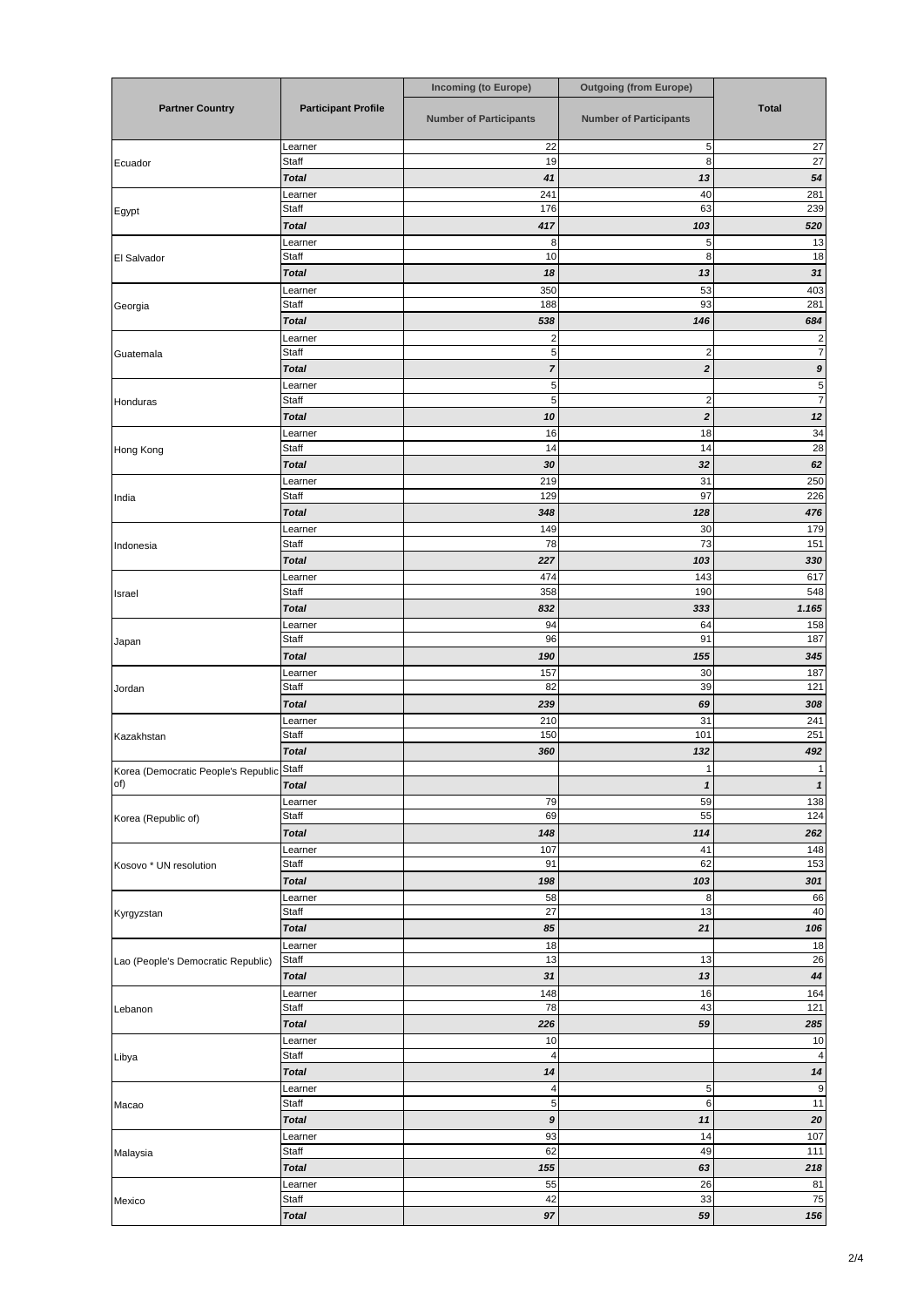|                                           |                            | <b>Incoming (to Europe)</b>    | <b>Outgoing (from Europe)</b>  |                       |
|-------------------------------------------|----------------------------|--------------------------------|--------------------------------|-----------------------|
| <b>Partner Country</b>                    | <b>Participant Profile</b> | <b>Number of Participants</b>  | <b>Number of Participants</b>  | <b>Total</b>          |
|                                           | Learner                    | 22                             | 5                              | 27                    |
| Ecuador                                   | Staff<br><b>Total</b>      | 19<br>41                       | 8<br>13                        | $\overline{27}$<br>54 |
|                                           | Learner                    | 241                            | 40                             | 281                   |
| Egypt                                     | Staff                      | 176                            | 63                             | 239                   |
|                                           | <b>Total</b><br>Learner    | 417<br>8                       | 103<br>$\sqrt{5}$              | 520<br>13             |
| El Salvador                               | Staff                      | 10                             | $\,8\,$                        | 18                    |
|                                           | <b>Total</b>               | 18                             | 13                             | 31                    |
| Georgia                                   | Learner<br>Staff           | 350<br>188                     | 53<br>93                       | 403<br>281            |
|                                           | <b>Total</b>               | 538                            | 146                            | 684                   |
|                                           | Learner                    | $\overline{\mathbf{c}}$        |                                | 2<br>7                |
| Guatemala                                 | Staff<br><b>Total</b>      | $\sqrt{5}$<br>$\overline{7}$   | $\overline{c}$<br>$\mathbf{2}$ | 9                     |
|                                           | Learner                    | $\overline{5}$                 |                                | 5                     |
| Honduras                                  | Staff                      | $\sqrt{5}$                     | $\overline{c}$                 | $\overline{7}$        |
|                                           | <b>Total</b><br>Learner    | 10<br>16                       | $\mathbf{2}$<br>18             | 12<br>34              |
| Hong Kong                                 | Staff                      | 14                             | 14                             | 28                    |
|                                           | <b>Total</b>               | 30                             | 32                             | 62                    |
| India                                     | Learner<br>Staff           | 219<br>129                     | 31<br>97                       | 250<br>226            |
|                                           | <b>Total</b>               | 348                            | 128                            | 476                   |
|                                           | Learner<br>Staff           | 149<br>78                      | 30<br>73                       | 179<br>151            |
| Indonesia                                 | <b>Total</b>               | 227                            | 103                            | 330                   |
|                                           | Learner                    | 474                            | 143                            | 617                   |
| Israel                                    | Staff<br><b>Total</b>      | 358<br>832                     | 190<br>333                     | 548<br>1.165          |
|                                           | Learner                    | 94                             | 64                             | 158                   |
| Japan                                     | Staff                      | 96                             | 91                             | 187                   |
|                                           | <b>Total</b>               | 190<br>157                     | 155<br>30                      | 345<br>187            |
| Jordan                                    | Learner<br>Staff           | 82                             | 39                             | 121                   |
|                                           | <b>Total</b>               | 239                            | 69                             | 308                   |
| Kazakhstan                                | Learner<br>Staff           | 210<br>150                     | 31<br>101                      | 241<br>251            |
|                                           | <b>Total</b>               | 360                            | 132                            | 492                   |
| Korea (Democratic People's Republic Staff |                            |                                | 1                              |                       |
| of)                                       | <b>Total</b>               |                                | 1<br>59                        | $\mathbf{1}$          |
| Korea (Republic of)                       | Learner<br>Staff           | 79<br>69                       | 55                             | 138<br>124            |
|                                           | <b>Total</b>               | 148                            | 114                            | 262                   |
| Kosovo * UN resolution                    | Learner<br>Staff           | 107<br>91                      | 41<br>62                       | 148<br>153            |
|                                           | <b>Total</b>               | 198                            | 103                            | 301                   |
|                                           | Learner                    | 58                             | 8                              | 66                    |
| Kyrgyzstan                                | Staff<br><b>Total</b>      | 27<br>85                       | 13<br>21                       | 40<br>106             |
|                                           | Learner                    | 18                             |                                | 18                    |
| Lao (People's Democratic Republic)        | <b>Staff</b>               | 13                             | 13                             | 26                    |
|                                           | <b>Total</b><br>Learner    | 31<br>148                      | 13<br>16                       | 44<br>164             |
| Lebanon                                   | Staff                      | 78                             | 43                             | 121                   |
|                                           | <b>Total</b>               | 226                            | 59                             | 285                   |
| Libya                                     | Learner<br><b>Staff</b>    | 10<br>$\overline{4}$           |                                | 10<br>$\overline{4}$  |
|                                           | <b>Total</b>               | 14                             |                                | 14                    |
| Macao                                     | Learner                    | 4                              | 5 <sub>5</sub>                 | $\overline{9}$        |
|                                           | Staff<br><b>Total</b>      | $\sqrt{5}$<br>$\boldsymbol{9}$ | 6<br>11                        | 11<br>20              |
|                                           | Learner                    | 93                             | 14                             | 107                   |
| Malaysia                                  | Staff                      | 62                             | 49                             | 111                   |
|                                           | <b>Total</b><br>Learner    | 155<br>55                      | 63<br>26                       | 218<br>81             |
| Mexico                                    | Staff                      | 42                             | 33                             | 75                    |
|                                           | <b>Total</b>               | 97                             | 59                             | 156                   |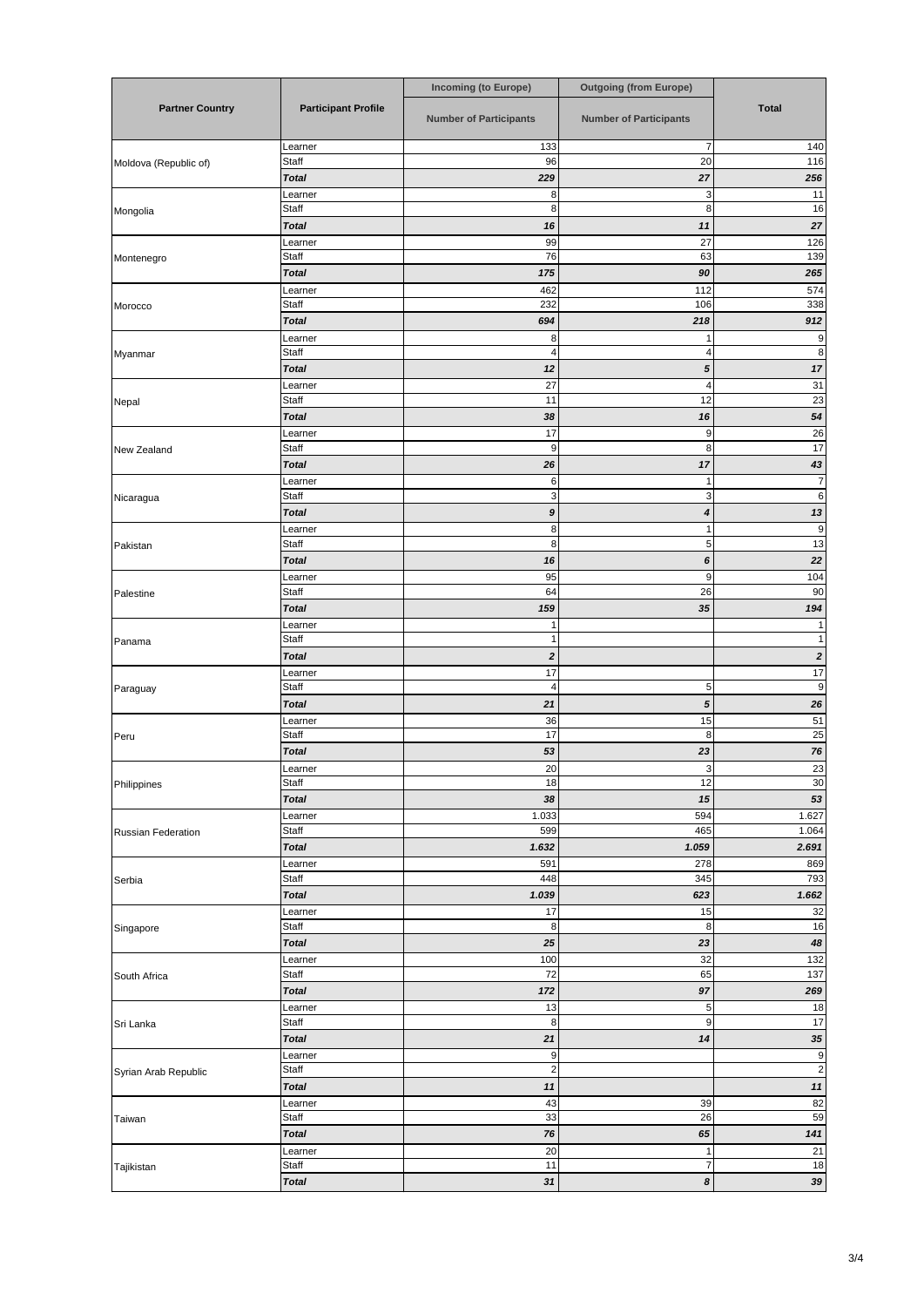|                           |                            | <b>Incoming (to Europe)</b>   | <b>Outgoing (from Europe)</b> |                                  |
|---------------------------|----------------------------|-------------------------------|-------------------------------|----------------------------------|
| <b>Partner Country</b>    | <b>Participant Profile</b> | <b>Number of Participants</b> | <b>Number of Participants</b> | <b>Total</b>                     |
| Moldova (Republic of)     | Learner                    | 133                           | $\overline{7}$                | 140                              |
|                           | Staff<br><b>Total</b>      | 96<br>229                     | 20<br>27                      | 116<br>256                       |
|                           | Learner                    | 8                             | 3                             | 11                               |
| Mongolia                  | Staff                      | 8                             | 8                             | 16                               |
|                           | <b>Total</b>               | 16                            | 11                            | 27                               |
|                           | Learner                    | 99                            | 27                            | 126                              |
| Montenegro                | Staff                      | 76                            | 63                            | 139                              |
|                           | <b>Total</b><br>Learner    | 175<br>462                    | 90<br>112                     | 265<br>574                       |
| Morocco                   | <b>Staff</b>               | 232                           | 106                           | 338                              |
|                           | <b>Total</b>               | 694                           | 218                           | 912                              |
|                           | Learner                    | 8                             |                               | 9                                |
| Myanmar                   | Staff                      | 4                             | 4                             | 8 <sup>1</sup>                   |
|                           | <b>Total</b><br>Learner    | 12<br>27                      | 5<br>$\overline{4}$           | 17<br>31                         |
| Nepal                     | Staff                      | 11                            | 12                            | 23                               |
|                           | <b>Total</b>               | 38                            | 16                            | 54                               |
|                           | Learner                    | 17                            | 9                             | $26\,$                           |
| New Zealand               | Staff                      | $9\,$                         | 8                             | 17                               |
|                           | <b>Total</b>               | 26                            | 17<br>1                       | 43<br>$\overline{7}$             |
| Nicaragua                 | Learner<br>Staff           | $\,6$<br>$\mathbf{3}$         | 3                             | $6 \mid$                         |
|                           | <b>Total</b>               | 9                             | 4                             | 13                               |
|                           | Learner                    | 8                             | 1                             | $\overline{9}$                   |
| Pakistan                  | Staff                      | 8                             | 5                             | 13                               |
|                           | <b>Total</b>               | 16                            | 6                             | 22                               |
| Palestine                 | Learner<br>Staff           | 95<br>64                      | $\boldsymbol{9}$<br>26        | 104<br>90                        |
|                           | <b>Total</b>               | 159                           | $35\,$                        | 194                              |
|                           | Learner                    | 1                             |                               |                                  |
| Panama                    | Staff                      | 1                             |                               |                                  |
|                           | <b>Total</b>               | $\pmb{2}$                     |                               | $\boldsymbol{2}$                 |
| Paraguay                  | Learner<br>Staff           | 17<br>4                       | $\sqrt{5}$                    | 17<br>$\overline{9}$             |
|                           | <b>Total</b>               | 21                            | ${\bf 5}$                     | 26                               |
|                           | Learner                    | 36                            | 15                            | 51                               |
| Peru                      | Staff                      | 17                            | 8                             | 25                               |
|                           | <b>Total</b>               | 53                            | 23                            | ${\bf 76}$                       |
| Philippines               | Learner<br>Staff           | 20<br>18                      | 3<br>12                       | $\frac{23}{30}$                  |
|                           | <b>Total</b>               | 38                            | 15                            | 53                               |
|                           | Learner                    | 1.033                         | 594                           | 1.627                            |
| <b>Russian Federation</b> | Staff                      | 599                           | 465                           | 1.064                            |
|                           | <b>Total</b>               | 1.632                         | 1.059                         | 2.691                            |
| Serbia                    | Learner<br>Staff           | 591<br>448                    | 278<br>345                    | 869<br>793                       |
|                           | <b>Total</b>               | 1.039                         | 623                           | 1.662                            |
|                           | Learner                    | 17                            | 15                            | 32                               |
| Singapore                 | Staff                      | 8                             | 8                             | 16                               |
|                           | <b>Total</b>               | 25                            | 23                            | 48                               |
| South Africa              | Learner<br>Staff           | 100<br>72                     | 32<br>65                      | 132<br>137                       |
|                           | <b>Total</b>               | 172                           | 97                            | 269                              |
|                           | Learner                    | 13                            | $\sqrt{5}$                    | 18                               |
| Sri Lanka                 | Staff                      | 8                             | 9                             | 17                               |
|                           | <b>Total</b>               | 21                            | 14                            | 35                               |
| Syrian Arab Republic      | Learner<br>Staff           | 9<br>$\mathbf{2}$             |                               | $\overline{9}$<br>$\overline{c}$ |
|                           | <b>Total</b>               | 11                            |                               | $\frac{1}{11}$                   |
|                           | Learner                    | 43                            | 39                            |                                  |
| Taiwan                    | Staff                      | 33                            | 26                            | $\frac{82}{59}$                  |
|                           | <b>Total</b>               | 76                            | 65                            | $141$                            |
|                           | Learner                    | 20                            | 1                             | 21                               |
| Tajikistan                | Staff<br><b>Total</b>      | 11<br>31                      | $\overline{7}$<br>$\pmb{8}$   | 18<br>39                         |
|                           |                            |                               |                               |                                  |